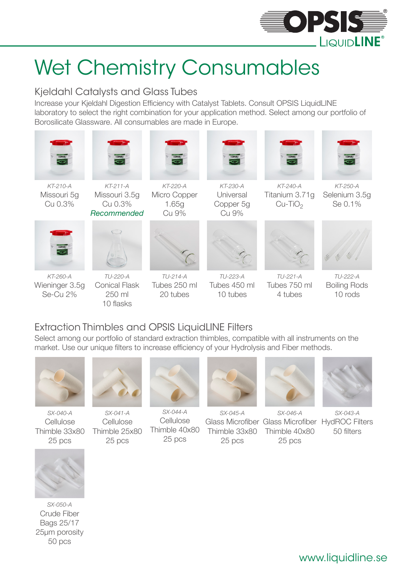

## Wet Chemistry Consumables

#### Kjeldahl Catalysts and Glass Tubes

Increase your Kjeldahl Digestion Efficiency with Catalyst Tablets. Consult OPSIS LiquidLINE laboratory to select the right combination for your application method. Select among our portfolio of Borosilicate Glassware. All consumables are made in Europe.



### Extraction Thimbles and OPSIS LiquidLINE Filters

Select among our portfolio of standard extraction thimbles, compatible with all instruments on the market. Use our unique filters to increase efficiency of your Hydrolysis and Fiber methods.



SX-040-A Cellulose Thimble 33x80 25 pcs



SX-041-A Cellulose Thimble 25x80 25 pcs



SX-044-A Cellulose Thimble 40x80 25 pcs



SX-045-A 25 pcs



Glass Microfiber Glass Microfiber HydROC Filters Thimble 33x80 Thimble 40x80 SX-046-A 25 pcs



SX-043-A 50 filters



SX-050-A Crude Fiber Bags 25/17 25µm porosity 50 pcs